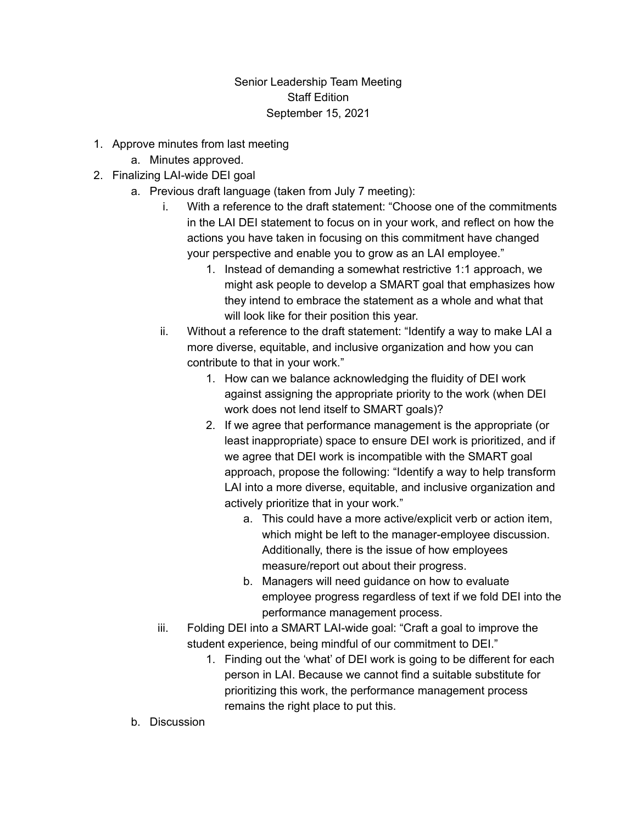## Senior Leadership Team Meeting Staff Edition September 15, 2021

- 1. Approve minutes from last meeting
	- a. Minutes approved.
- 2. Finalizing LAI-wide DEI goal
	- a. Previous draft language (taken from July 7 meeting):
		- i. With a reference to the draft statement: "Choose one of the commitments in the LAI DEI statement to focus on in your work, and reflect on how the actions you have taken in focusing on this commitment have changed your perspective and enable you to grow as an LAI employee."
			- 1. Instead of demanding a somewhat restrictive 1:1 approach, we might ask people to develop a SMART goal that emphasizes how they intend to embrace the statement as a whole and what that will look like for their position this year.
		- ii. Without a reference to the draft statement: "Identify a way to make LAI a more diverse, equitable, and inclusive organization and how you can contribute to that in your work."
			- 1. How can we balance acknowledging the fluidity of DEI work against assigning the appropriate priority to the work (when DEI work does not lend itself to SMART goals)?
			- 2. If we agree that performance management is the appropriate (or least inappropriate) space to ensure DEI work is prioritized, and if we agree that DEI work is incompatible with the SMART goal approach, propose the following: "Identify a way to help transform LAI into a more diverse, equitable, and inclusive organization and actively prioritize that in your work."
				- a. This could have a more active/explicit verb or action item, which might be left to the manager-employee discussion. Additionally, there is the issue of how employees measure/report out about their progress.
				- b. Managers will need guidance on how to evaluate employee progress regardless of text if we fold DEI into the performance management process.
		- iii. Folding DEI into a SMART LAI-wide goal: "Craft a goal to improve the student experience, being mindful of our commitment to DEI."
			- 1. Finding out the 'what' of DEI work is going to be different for each person in LAI. Because we cannot find a suitable substitute for prioritizing this work, the performance management process remains the right place to put this.
	- b. Discussion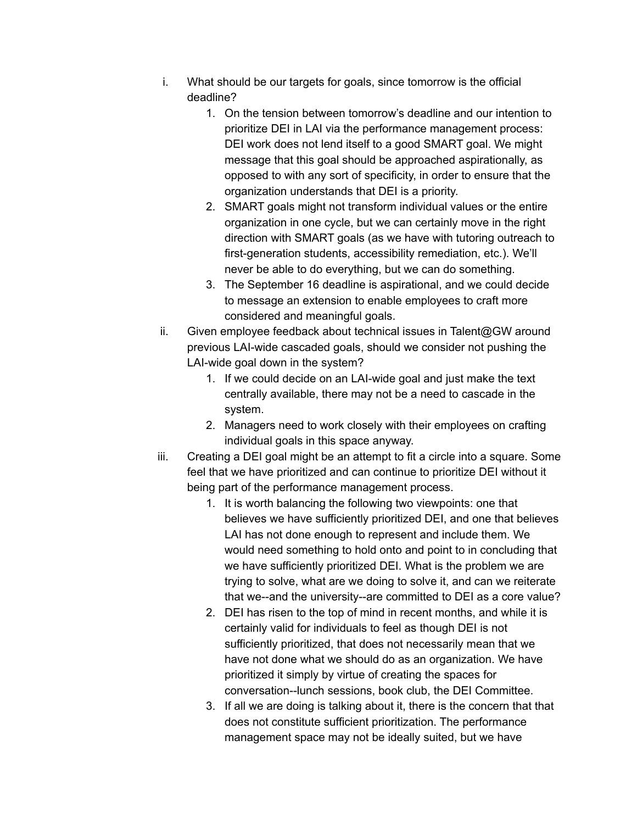- i. What should be our targets for goals, since tomorrow is the official deadline?
	- 1. On the tension between tomorrow's deadline and our intention to prioritize DEI in LAI via the performance management process: DEI work does not lend itself to a good SMART goal. We might message that this goal should be approached aspirationally, as opposed to with any sort of specificity, in order to ensure that the organization understands that DEI is a priority.
	- 2. SMART goals might not transform individual values or the entire organization in one cycle, but we can certainly move in the right direction with SMART goals (as we have with tutoring outreach to first-generation students, accessibility remediation, etc.). We'll never be able to do everything, but we can do something.
	- 3. The September 16 deadline is aspirational, and we could decide to message an extension to enable employees to craft more considered and meaningful goals.
- ii. Given employee feedback about technical issues in Talent@GW around previous LAI-wide cascaded goals, should we consider not pushing the LAI-wide goal down in the system?
	- 1. If we could decide on an LAI-wide goal and just make the text centrally available, there may not be a need to cascade in the system.
	- 2. Managers need to work closely with their employees on crafting individual goals in this space anyway.
- iii. Creating a DEI goal might be an attempt to fit a circle into a square. Some feel that we have prioritized and can continue to prioritize DEI without it being part of the performance management process.
	- 1. It is worth balancing the following two viewpoints: one that believes we have sufficiently prioritized DEI, and one that believes LAI has not done enough to represent and include them. We would need something to hold onto and point to in concluding that we have sufficiently prioritized DEI. What is the problem we are trying to solve, what are we doing to solve it, and can we reiterate that we--and the university--are committed to DEI as a core value?
	- 2. DEI has risen to the top of mind in recent months, and while it is certainly valid for individuals to feel as though DEI is not sufficiently prioritized, that does not necessarily mean that we have not done what we should do as an organization. We have prioritized it simply by virtue of creating the spaces for conversation--lunch sessions, book club, the DEI Committee.
	- 3. If all we are doing is talking about it, there is the concern that that does not constitute sufficient prioritization. The performance management space may not be ideally suited, but we have